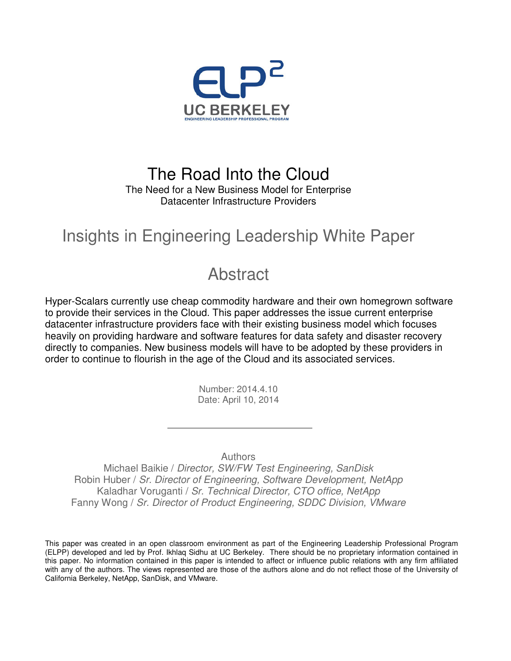

### The Road Into the Cloud The Need for a New Business Model for Enterprise Datacenter Infrastructure Providers

## Insights in Engineering Leadership White Paper

## **Abstract**

Hyper-Scalars currently use cheap commodity hardware and their own homegrown software to provide their services in the Cloud. This paper addresses the issue current enterprise datacenter infrastructure providers face with their existing business model which focuses heavily on providing hardware and software features for data safety and disaster recovery directly to companies. New business models will have to be adopted by these providers in order to continue to flourish in the age of the Cloud and its associated services.

> Number: 2014.4.10 Date: April 10, 2014

> > **Authors**

Michael Baikie / Director, SW/FW Test Engineering, SanDisk Robin Huber / Sr. Director of Engineering, Software Development, NetApp Kaladhar Voruganti / Sr. Technical Director, CTO office, NetApp Fanny Wong / Sr. Director of Product Engineering, SDDC Division, VMware

This paper was created in an open classroom environment as part of the Engineering Leadership Professional Program (ELPP) developed and led by Prof. Ikhlaq Sidhu at UC Berkeley. There should be no proprietary information contained in this paper. No information contained in this paper is intended to affect or influence public relations with any firm affiliated with any of the authors. The views represented are those of the authors alone and do not reflect those of the University of California Berkeley, NetApp, SanDisk, and VMware.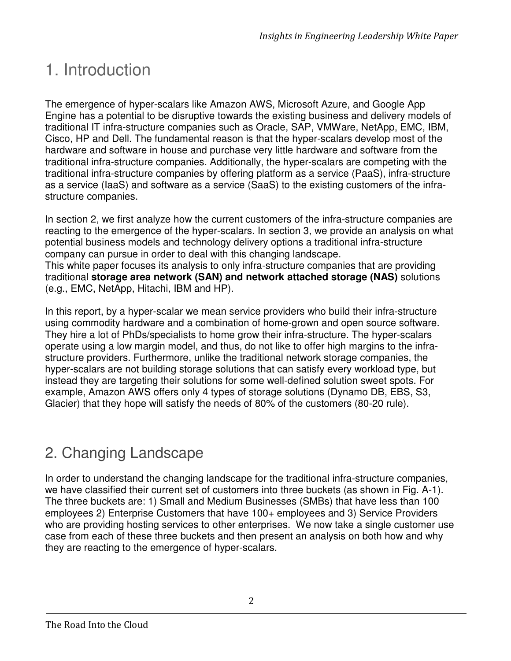# 1. Introduction

The emergence of hyper-scalars like Amazon AWS, Microsoft Azure, and Google App Engine has a potential to be disruptive towards the existing business and delivery models of traditional IT infra-structure companies such as Oracle, SAP, VMWare, NetApp, EMC, IBM, Cisco, HP and Dell. The fundamental reason is that the hyper-scalars develop most of the hardware and software in house and purchase very little hardware and software from the traditional infra-structure companies. Additionally, the hyper-scalars are competing with the traditional infra-structure companies by offering platform as a service (PaaS), infra-structure as a service (IaaS) and software as a service (SaaS) to the existing customers of the infrastructure companies.

In section 2, we first analyze how the current customers of the infra-structure companies are reacting to the emergence of the hyper-scalars. In section 3, we provide an analysis on what potential business models and technology delivery options a traditional infra-structure company can pursue in order to deal with this changing landscape.

This white paper focuses its analysis to only infra-structure companies that are providing traditional **storage area network (SAN) and network attached storage (NAS)** solutions (e.g., EMC, NetApp, Hitachi, IBM and HP).

In this report, by a hyper-scalar we mean service providers who build their infra-structure using commodity hardware and a combination of home-grown and open source software. They hire a lot of PhDs/specialists to home grow their infra-structure. The hyper-scalars operate using a low margin model, and thus, do not like to offer high margins to the infrastructure providers. Furthermore, unlike the traditional network storage companies, the hyper-scalars are not building storage solutions that can satisfy every workload type, but instead they are targeting their solutions for some well-defined solution sweet spots. For example, Amazon AWS offers only 4 types of storage solutions (Dynamo DB, EBS, S3, Glacier) that they hope will satisfy the needs of 80% of the customers (80-20 rule).

## 2. Changing Landscape

In order to understand the changing landscape for the traditional infra-structure companies, we have classified their current set of customers into three buckets (as shown in Fig. A-1). The three buckets are: 1) Small and Medium Businesses (SMBs) that have less than 100 employees 2) Enterprise Customers that have 100+ employees and 3) Service Providers who are providing hosting services to other enterprises. We now take a single customer use case from each of these three buckets and then present an analysis on both how and why they are reacting to the emergence of hyper-scalars.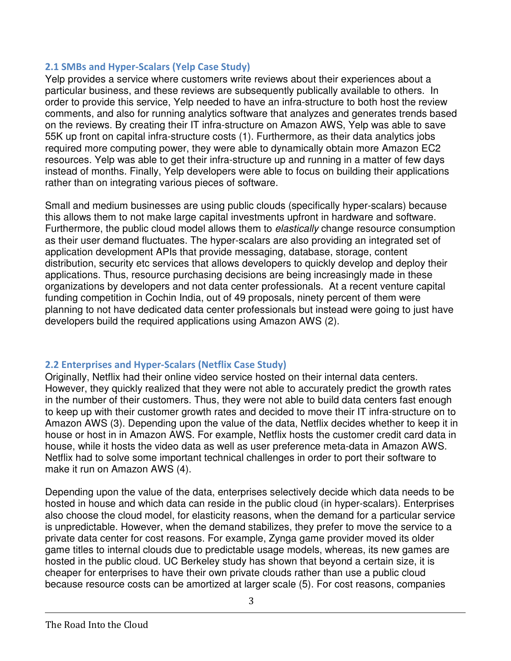#### 2.1 SMBs and Hyper-Scalars (Yelp Case Study)

Yelp provides a service where customers write reviews about their experiences about a particular business, and these reviews are subsequently publically available to others. In order to provide this service, Yelp needed to have an infra-structure to both host the review comments, and also for running analytics software that analyzes and generates trends based on the reviews. By creating their IT infra-structure on Amazon AWS, Yelp was able to save 55K up front on capital infra-structure costs (1). Furthermore, as their data analytics jobs required more computing power, they were able to dynamically obtain more Amazon EC2 resources. Yelp was able to get their infra-structure up and running in a matter of few days instead of months. Finally, Yelp developers were able to focus on building their applications rather than on integrating various pieces of software.

Small and medium businesses are using public clouds (specifically hyper-scalars) because this allows them to not make large capital investments upfront in hardware and software. Furthermore, the public cloud model allows them to elastically change resource consumption as their user demand fluctuates. The hyper-scalars are also providing an integrated set of application development APIs that provide messaging, database, storage, content distribution, security etc services that allows developers to quickly develop and deploy their applications. Thus, resource purchasing decisions are being increasingly made in these organizations by developers and not data center professionals. At a recent venture capital funding competition in Cochin India, out of 49 proposals, ninety percent of them were planning to not have dedicated data center professionals but instead were going to just have developers build the required applications using Amazon AWS (2).

#### 2.2 Enterprises and Hyper-Scalars (Netflix Case Study)

Originally, Netflix had their online video service hosted on their internal data centers. However, they quickly realized that they were not able to accurately predict the growth rates in the number of their customers. Thus, they were not able to build data centers fast enough to keep up with their customer growth rates and decided to move their IT infra-structure on to Amazon AWS (3). Depending upon the value of the data, Netflix decides whether to keep it in house or host in in Amazon AWS. For example, Netflix hosts the customer credit card data in house, while it hosts the video data as well as user preference meta-data in Amazon AWS. Netflix had to solve some important technical challenges in order to port their software to make it run on Amazon AWS (4).

Depending upon the value of the data, enterprises selectively decide which data needs to be hosted in house and which data can reside in the public cloud (in hyper-scalars). Enterprises also choose the cloud model, for elasticity reasons, when the demand for a particular service is unpredictable. However, when the demand stabilizes, they prefer to move the service to a private data center for cost reasons. For example, Zynga game provider moved its older game titles to internal clouds due to predictable usage models, whereas, its new games are hosted in the public cloud. UC Berkeley study has shown that beyond a certain size, it is cheaper for enterprises to have their own private clouds rather than use a public cloud because resource costs can be amortized at larger scale (5). For cost reasons, companies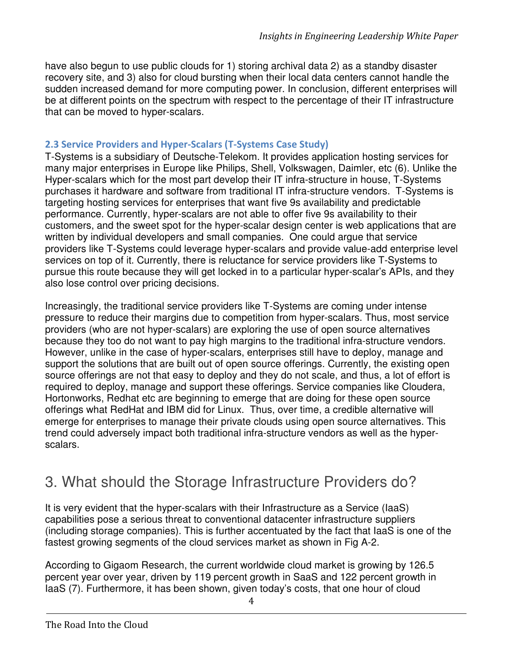have also begun to use public clouds for 1) storing archival data 2) as a standby disaster recovery site, and 3) also for cloud bursting when their local data centers cannot handle the sudden increased demand for more computing power. In conclusion, different enterprises will be at different points on the spectrum with respect to the percentage of their IT infrastructure that can be moved to hyper-scalars.

#### 2.3 Service Providers and Hyper-Scalars (T-Systems Case Study)

T-Systems is a subsidiary of Deutsche-Telekom. It provides application hosting services for many major enterprises in Europe like Philips, Shell, Volkswagen, Daimler, etc (6). Unlike the Hyper-scalars which for the most part develop their IT infra-structure in house, T-Systems purchases it hardware and software from traditional IT infra-structure vendors. T-Systems is targeting hosting services for enterprises that want five 9s availability and predictable performance. Currently, hyper-scalars are not able to offer five 9s availability to their customers, and the sweet spot for the hyper-scalar design center is web applications that are written by individual developers and small companies. One could argue that service providers like T-Systems could leverage hyper-scalars and provide value-add enterprise level services on top of it. Currently, there is reluctance for service providers like T-Systems to pursue this route because they will get locked in to a particular hyper-scalar's APIs, and they also lose control over pricing decisions.

Increasingly, the traditional service providers like T-Systems are coming under intense pressure to reduce their margins due to competition from hyper-scalars. Thus, most service providers (who are not hyper-scalars) are exploring the use of open source alternatives because they too do not want to pay high margins to the traditional infra-structure vendors. However, unlike in the case of hyper-scalars, enterprises still have to deploy, manage and support the solutions that are built out of open source offerings. Currently, the existing open source offerings are not that easy to deploy and they do not scale, and thus, a lot of effort is required to deploy, manage and support these offerings. Service companies like Cloudera, Hortonworks, Redhat etc are beginning to emerge that are doing for these open source offerings what RedHat and IBM did for Linux. Thus, over time, a credible alternative will emerge for enterprises to manage their private clouds using open source alternatives. This trend could adversely impact both traditional infra-structure vendors as well as the hyperscalars.

### 3. What should the Storage Infrastructure Providers do?

It is very evident that the hyper-scalars with their Infrastructure as a Service (IaaS) capabilities pose a serious threat to conventional datacenter infrastructure suppliers (including storage companies). This is further accentuated by the fact that IaaS is one of the fastest growing segments of the cloud services market as shown in Fig A-2.

According to Gigaom Research, the current worldwide cloud market is growing by 126.5 percent year over year, driven by 119 percent growth in SaaS and 122 percent growth in IaaS (7). Furthermore, it has been shown, given today's costs, that one hour of cloud

4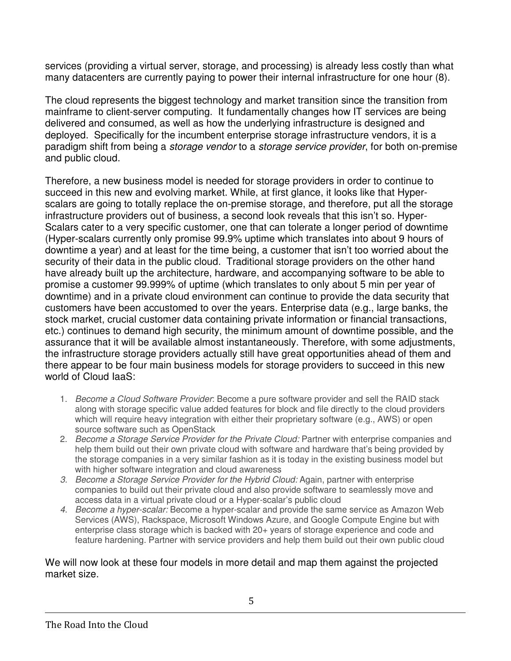services (providing a virtual server, storage, and processing) is already less costly than what many datacenters are currently paying to power their internal infrastructure for one hour (8).

The cloud represents the biggest technology and market transition since the transition from mainframe to client-server computing. It fundamentally changes how IT services are being delivered and consumed, as well as how the underlying infrastructure is designed and deployed. Specifically for the incumbent enterprise storage infrastructure vendors, it is a paradigm shift from being a *storage vendor* to a *storage service provider*, for both on-premise and public cloud.

Therefore, a new business model is needed for storage providers in order to continue to succeed in this new and evolving market. While, at first glance, it looks like that Hyperscalars are going to totally replace the on-premise storage, and therefore, put all the storage infrastructure providers out of business, a second look reveals that this isn't so. Hyper-Scalars cater to a very specific customer, one that can tolerate a longer period of downtime (Hyper-scalars currently only promise 99.9% uptime which translates into about 9 hours of downtime a year) and at least for the time being, a customer that isn't too worried about the security of their data in the public cloud. Traditional storage providers on the other hand have already built up the architecture, hardware, and accompanying software to be able to promise a customer 99.999% of uptime (which translates to only about 5 min per year of downtime) and in a private cloud environment can continue to provide the data security that customers have been accustomed to over the years. Enterprise data (e.g., large banks, the stock market, crucial customer data containing private information or financial transactions, etc.) continues to demand high security, the minimum amount of downtime possible, and the assurance that it will be available almost instantaneously. Therefore, with some adjustments, the infrastructure storage providers actually still have great opportunities ahead of them and there appear to be four main business models for storage providers to succeed in this new world of Cloud IaaS:

- 1. Become a Cloud Software Provider: Become a pure software provider and sell the RAID stack along with storage specific value added features for block and file directly to the cloud providers which will require heavy integration with either their proprietary software (e.g., AWS) or open source software such as OpenStack
- 2. Become a Storage Service Provider for the Private Cloud: Partner with enterprise companies and help them build out their own private cloud with software and hardware that's being provided by the storage companies in a very similar fashion as it is today in the existing business model but with higher software integration and cloud awareness
- 3. Become a Storage Service Provider for the Hybrid Cloud: Again, partner with enterprise companies to build out their private cloud and also provide software to seamlessly move and access data in a virtual private cloud or a Hyper-scalar's public cloud
- 4. Become a hyper-scalar: Become a hyper-scalar and provide the same service as Amazon Web Services (AWS), Rackspace, Microsoft Windows Azure, and Google Compute Engine but with enterprise class storage which is backed with 20+ years of storage experience and code and feature hardening. Partner with service providers and help them build out their own public cloud

#### We will now look at these four models in more detail and map them against the projected market size.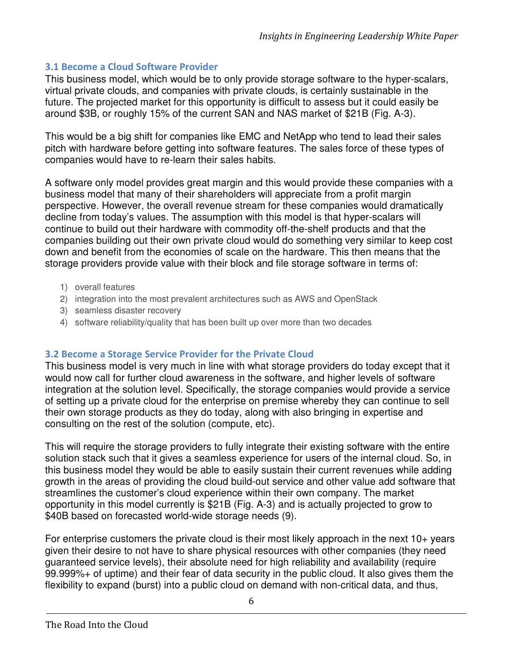#### 3.1 Become a Cloud Software Provider

This business model, which would be to only provide storage software to the hyper-scalars, virtual private clouds, and companies with private clouds, is certainly sustainable in the future. The projected market for this opportunity is difficult to assess but it could easily be around \$3B, or roughly 15% of the current SAN and NAS market of \$21B (Fig. A-3).

This would be a big shift for companies like EMC and NetApp who tend to lead their sales pitch with hardware before getting into software features. The sales force of these types of companies would have to re-learn their sales habits.

A software only model provides great margin and this would provide these companies with a business model that many of their shareholders will appreciate from a profit margin perspective. However, the overall revenue stream for these companies would dramatically decline from today's values. The assumption with this model is that hyper-scalars will continue to build out their hardware with commodity off-the-shelf products and that the companies building out their own private cloud would do something very similar to keep cost down and benefit from the economies of scale on the hardware. This then means that the storage providers provide value with their block and file storage software in terms of:

- 1) overall features
- 2) integration into the most prevalent architectures such as AWS and OpenStack
- 3) seamless disaster recovery
- 4) software reliability/quality that has been built up over more than two decades

#### 3.2 Become a Storage Service Provider for the Private Cloud

This business model is very much in line with what storage providers do today except that it would now call for further cloud awareness in the software, and higher levels of software integration at the solution level. Specifically, the storage companies would provide a service of setting up a private cloud for the enterprise on premise whereby they can continue to sell their own storage products as they do today, along with also bringing in expertise and consulting on the rest of the solution (compute, etc).

This will require the storage providers to fully integrate their existing software with the entire solution stack such that it gives a seamless experience for users of the internal cloud. So, in this business model they would be able to easily sustain their current revenues while adding growth in the areas of providing the cloud build-out service and other value add software that streamlines the customer's cloud experience within their own company. The market opportunity in this model currently is \$21B (Fig. A-3) and is actually projected to grow to \$40B based on forecasted world-wide storage needs (9).

For enterprise customers the private cloud is their most likely approach in the next 10+ years given their desire to not have to share physical resources with other companies (they need guaranteed service levels), their absolute need for high reliability and availability (require 99.999%+ of uptime) and their fear of data security in the public cloud. It also gives them the flexibility to expand (burst) into a public cloud on demand with non-critical data, and thus,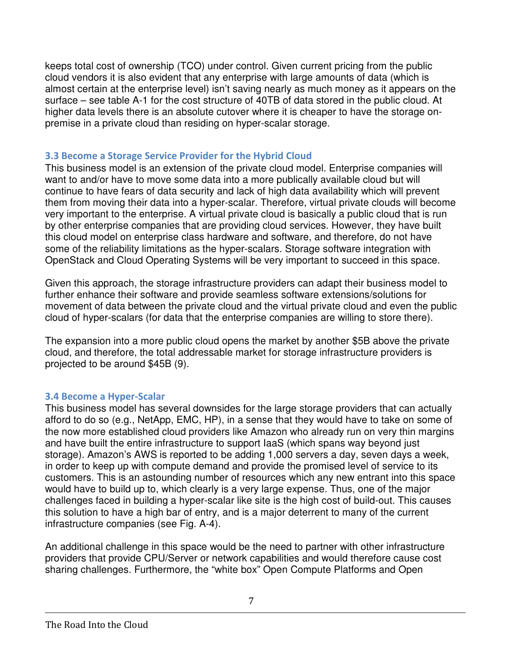keeps total cost of ownership (TCO) under control. Given current pricing from the public cloud vendors it is also evident that any enterprise with large amounts of data (which is almost certain at the enterprise level) isn't saving nearly as much money as it appears on the surface – see table A-1 for the cost structure of 40TB of data stored in the public cloud. At higher data levels there is an absolute cutover where it is cheaper to have the storage onpremise in a private cloud than residing on hyper-scalar storage.

#### 3.3 Become a Storage Service Provider for the Hybrid Cloud

This business model is an extension of the private cloud model. Enterprise companies will want to and/or have to move some data into a more publically available cloud but will continue to have fears of data security and lack of high data availability which will prevent them from moving their data into a hyper-scalar. Therefore, virtual private clouds will become very important to the enterprise. A virtual private cloud is basically a public cloud that is run by other enterprise companies that are providing cloud services. However, they have built this cloud model on enterprise class hardware and software, and therefore, do not have some of the reliability limitations as the hyper-scalars. Storage software integration with OpenStack and Cloud Operating Systems will be very important to succeed in this space.

Given this approach, the storage infrastructure providers can adapt their business model to further enhance their software and provide seamless software extensions/solutions for movement of data between the private cloud and the virtual private cloud and even the public cloud of hyper-scalars (for data that the enterprise companies are willing to store there).

The expansion into a more public cloud opens the market by another \$5B above the private cloud, and therefore, the total addressable market for storage infrastructure providers is projected to be around \$45B (9).

#### 3.4 Become a Hyper-Scalar

This business model has several downsides for the large storage providers that can actually afford to do so (e.g., NetApp, EMC, HP), in a sense that they would have to take on some of the now more established cloud providers like Amazon who already run on very thin margins and have built the entire infrastructure to support IaaS (which spans way beyond just storage). Amazon's AWS is reported to be adding 1,000 servers a day, seven days a week, in order to keep up with compute demand and provide the promised level of service to its customers. This is an astounding number of resources which any new entrant into this space would have to build up to, which clearly is a very large expense. Thus, one of the major challenges faced in building a hyper-scalar like site is the high cost of build-out. This causes this solution to have a high bar of entry, and is a major deterrent to many of the current infrastructure companies (see Fig. A-4).

An additional challenge in this space would be the need to partner with other infrastructure providers that provide CPU/Server or network capabilities and would therefore cause cost sharing challenges. Furthermore, the "white box" Open Compute Platforms and Open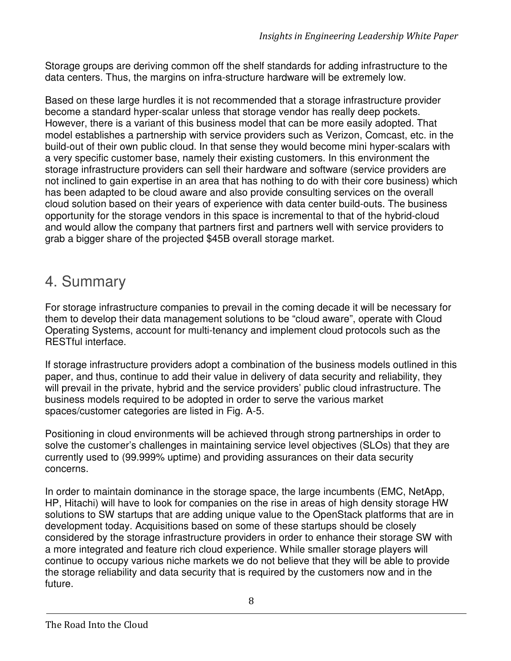Storage groups are deriving common off the shelf standards for adding infrastructure to the data centers. Thus, the margins on infra-structure hardware will be extremely low.

Based on these large hurdles it is not recommended that a storage infrastructure provider become a standard hyper-scalar unless that storage vendor has really deep pockets. However, there is a variant of this business model that can be more easily adopted. That model establishes a partnership with service providers such as Verizon, Comcast, etc. in the build-out of their own public cloud. In that sense they would become mini hyper-scalars with a very specific customer base, namely their existing customers. In this environment the storage infrastructure providers can sell their hardware and software (service providers are not inclined to gain expertise in an area that has nothing to do with their core business) which has been adapted to be cloud aware and also provide consulting services on the overall cloud solution based on their years of experience with data center build-outs. The business opportunity for the storage vendors in this space is incremental to that of the hybrid-cloud and would allow the company that partners first and partners well with service providers to grab a bigger share of the projected \$45B overall storage market.

### 4. Summary

For storage infrastructure companies to prevail in the coming decade it will be necessary for them to develop their data management solutions to be "cloud aware", operate with Cloud Operating Systems, account for multi-tenancy and implement cloud protocols such as the RESTful interface.

If storage infrastructure providers adopt a combination of the business models outlined in this paper, and thus, continue to add their value in delivery of data security and reliability, they will prevail in the private, hybrid and the service providers' public cloud infrastructure. The business models required to be adopted in order to serve the various market spaces/customer categories are listed in Fig. A-5.

Positioning in cloud environments will be achieved through strong partnerships in order to solve the customer's challenges in maintaining service level objectives (SLOs) that they are currently used to (99.999% uptime) and providing assurances on their data security concerns.

In order to maintain dominance in the storage space, the large incumbents (EMC, NetApp, HP, Hitachi) will have to look for companies on the rise in areas of high density storage HW solutions to SW startups that are adding unique value to the OpenStack platforms that are in development today. Acquisitions based on some of these startups should be closely considered by the storage infrastructure providers in order to enhance their storage SW with a more integrated and feature rich cloud experience. While smaller storage players will continue to occupy various niche markets we do not believe that they will be able to provide the storage reliability and data security that is required by the customers now and in the future.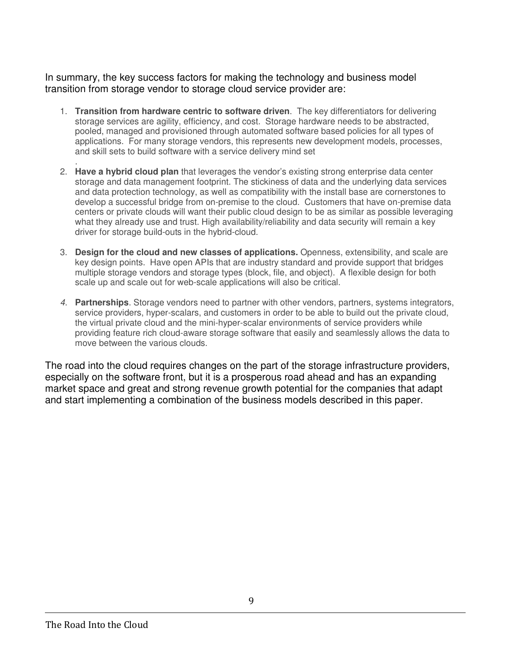In summary, the key success factors for making the technology and business model transition from storage vendor to storage cloud service provider are:

- 1. **Transition from hardware centric to software driven**. The key differentiators for delivering storage services are agility, efficiency, and cost. Storage hardware needs to be abstracted, pooled, managed and provisioned through automated software based policies for all types of applications. For many storage vendors, this represents new development models, processes, and skill sets to build software with a service delivery mind set
- . 2. **Have a hybrid cloud plan** that leverages the vendor's existing strong enterprise data center storage and data management footprint. The stickiness of data and the underlying data services and data protection technology, as well as compatibility with the install base are cornerstones to develop a successful bridge from on-premise to the cloud. Customers that have on-premise data centers or private clouds will want their public cloud design to be as similar as possible leveraging what they already use and trust. High availability/reliability and data security will remain a key driver for storage build-outs in the hybrid-cloud.
- 3. **Design for the cloud and new classes of applications.** Openness, extensibility, and scale are key design points. Have open APIs that are industry standard and provide support that bridges multiple storage vendors and storage types (block, file, and object). A flexible design for both scale up and scale out for web-scale applications will also be critical.
- 4. **Partnerships**. Storage vendors need to partner with other vendors, partners, systems integrators, service providers, hyper-scalars, and customers in order to be able to build out the private cloud, the virtual private cloud and the mini-hyper-scalar environments of service providers while providing feature rich cloud-aware storage software that easily and seamlessly allows the data to move between the various clouds.

The road into the cloud requires changes on the part of the storage infrastructure providers, especially on the software front, but it is a prosperous road ahead and has an expanding market space and great and strong revenue growth potential for the companies that adapt and start implementing a combination of the business models described in this paper.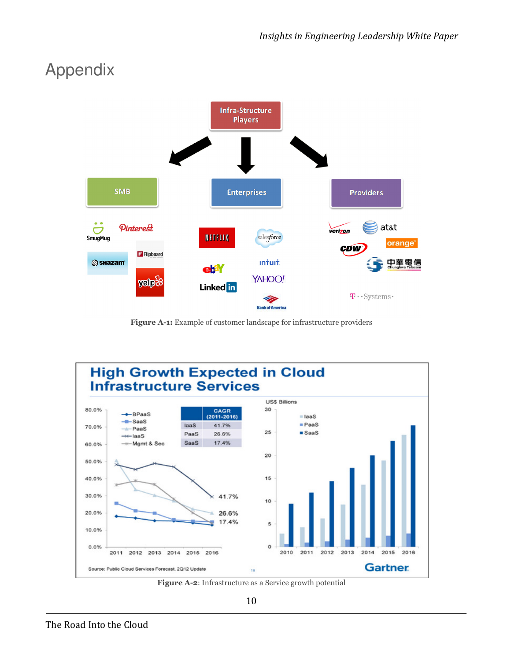## Appendix



Figure A-1: Example of customer landscape for infrastructure providers



Figure A-2: Infrastructure as a Service growth potential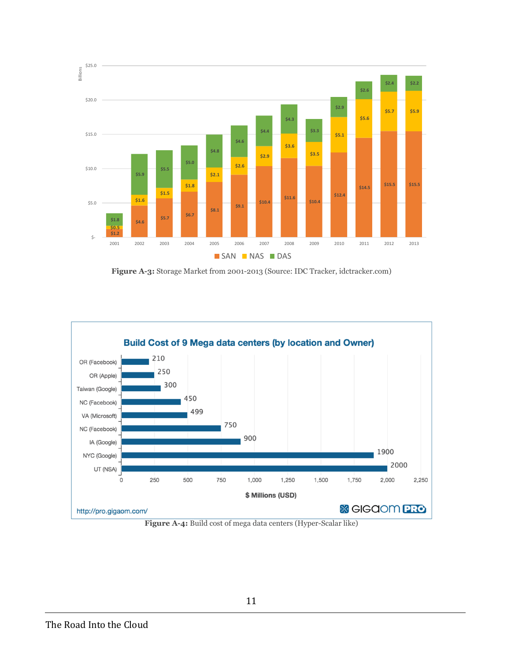

Figure A-3: Storage Market from 2001-2013 (Source: IDC Tracker, idctracker.com)



Figure A-4: Build cost of mega data centers (Hyper-Scalar like)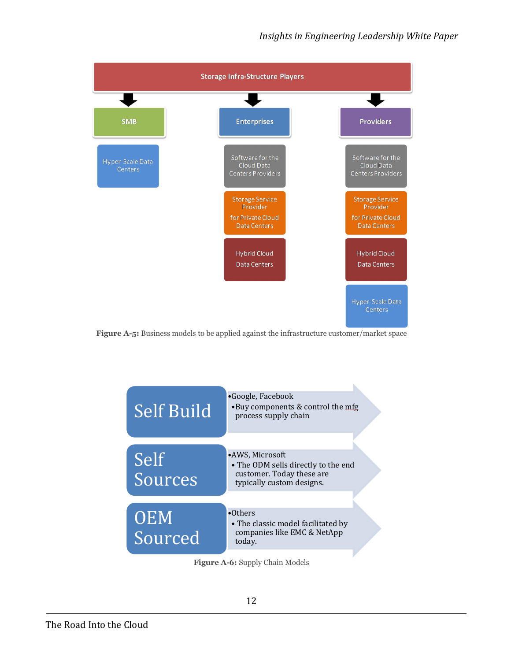





Figure A-6: Supply Chain Models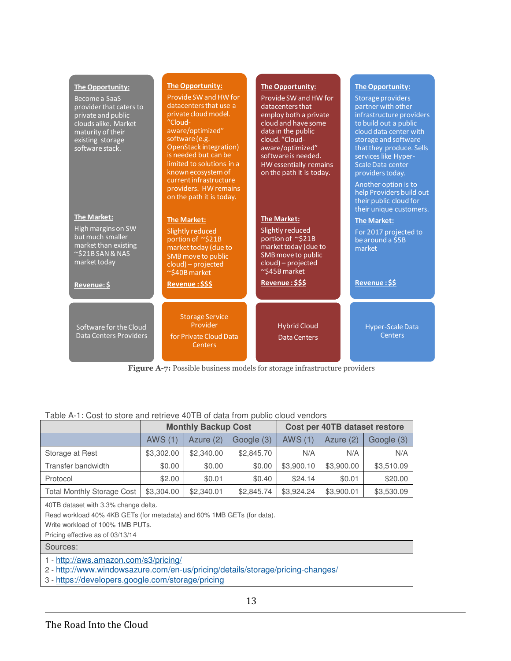| The Opportunity:<br>Become a SaaS<br>provider that caters to<br>private and public<br>clouds alike. Market<br>maturity of their<br>existing storage<br>software stack.<br><b>The Market:</b><br>High margins on SW<br>but much smaller<br>market than existing<br>$\sim$ \$21BSAN & NAS<br>market today | <b>The Opportunity:</b><br>Provide SW and HW for<br>datacenters that use a<br>private cloud model.<br>"Cloud-<br>aware/optimized"<br>software (e.g.<br><b>OpenStack integration)</b><br>is needed but can be<br>limited to solutions in a<br>known ecosystem of<br>current infrastructure<br>providers. HW remains<br>on the path it is today.<br><b>The Market:</b><br>Slightly reduced<br>portion of ~\$21B<br>market today (due to<br>SMB move to public<br>cloud) - projected<br>~\$40B market | <b>The Opportunity:</b><br>Provide SW and HW for<br>datacenters that<br>employ both a private<br>cloud and have some<br>data in the public<br>cloud. "Cloud-<br>aware/optimized"<br>software is needed.<br>HW essentially remains<br>on the path it is today.<br><b>The Market:</b><br>Slightly reduced<br>portion of ~\$21B<br>market today (due to<br>SMB move to public<br>cloud) - projected<br>~\$45B market | The Opportunity:<br>Storage providers<br>partner with other<br>infrastructure providers<br>to build out a public<br>cloud data center with<br>storage and software<br>that they produce. Sells<br>services like Hyper-<br>Scale Data center<br>providers today.<br>Another option is to<br>help Providers build out<br>their public cloud for<br>their unique customers.<br><b>The Market:</b><br>For 2017 projected to<br>be around a \$5B<br>market |
|---------------------------------------------------------------------------------------------------------------------------------------------------------------------------------------------------------------------------------------------------------------------------------------------------------|----------------------------------------------------------------------------------------------------------------------------------------------------------------------------------------------------------------------------------------------------------------------------------------------------------------------------------------------------------------------------------------------------------------------------------------------------------------------------------------------------|-------------------------------------------------------------------------------------------------------------------------------------------------------------------------------------------------------------------------------------------------------------------------------------------------------------------------------------------------------------------------------------------------------------------|-------------------------------------------------------------------------------------------------------------------------------------------------------------------------------------------------------------------------------------------------------------------------------------------------------------------------------------------------------------------------------------------------------------------------------------------------------|
| Revenue: \$                                                                                                                                                                                                                                                                                             | Revenue: \$\$\$                                                                                                                                                                                                                                                                                                                                                                                                                                                                                    | Revenue: \$\$\$                                                                                                                                                                                                                                                                                                                                                                                                   | Revenue: \$\$                                                                                                                                                                                                                                                                                                                                                                                                                                         |
| Software for the Cloud<br>Data Centers Providers                                                                                                                                                                                                                                                        | <b>Storage Service</b><br>Provider<br>for Private Cloud Data<br>Centers                                                                                                                                                                                                                                                                                                                                                                                                                            | <b>Hybrid Cloud</b><br><b>Data Centers</b>                                                                                                                                                                                                                                                                                                                                                                        | <b>Hyper-Scale Data</b><br>Centers                                                                                                                                                                                                                                                                                                                                                                                                                    |

Figure A-7: Possible business models for storage infrastructure providers

#### Table A-1: Cost to store and retrieve 40TB of data from public cloud vendors

|                                                                                                                                                                                        | <b>Monthly Backup Cost</b> |             |            | Cost per 40TB dataset restore |            |            |  |  |
|----------------------------------------------------------------------------------------------------------------------------------------------------------------------------------------|----------------------------|-------------|------------|-------------------------------|------------|------------|--|--|
|                                                                                                                                                                                        | <b>AWS (1)</b>             | Azure $(2)$ | Google (3) | AWS (1)                       | Azure (2)  | Google (3) |  |  |
| Storage at Rest                                                                                                                                                                        | \$3,302.00                 | \$2,340.00  | \$2,845.70 | N/A                           | N/A        | N/A        |  |  |
| Transfer bandwidth                                                                                                                                                                     | \$0.00                     | \$0.00      | \$0.00     | \$3,900.10                    | \$3,900.00 | \$3,510.09 |  |  |
| Protocol                                                                                                                                                                               | \$2.00                     | \$0.01      | \$0.40     | \$24.14                       | \$0.01     | \$20.00    |  |  |
| <b>Total Monthly Storage Cost</b>                                                                                                                                                      | \$3,304.00                 | \$2,340.01  | \$2,845.74 | \$3,924.24                    | \$3,900.01 | \$3,530.09 |  |  |
| 40TB dataset with 3.3% change delta.<br>Read workload 40% 4KB GETs (for metadata) and 60% 1MB GETs (for data).<br>Write workload of 100% 1MB PUTs.<br>Pricing effective as of 03/13/14 |                            |             |            |                               |            |            |  |  |
| Sources:                                                                                                                                                                               |                            |             |            |                               |            |            |  |  |
| 1 - http://aws.amazon.com/s3/pricing/<br>http://www.windowsazure.com/en-us/pricing/details/storage/pricing-changes/<br>$2 -$<br>3 - https://developers.google.com/storage/pricing      |                            |             |            |                               |            |            |  |  |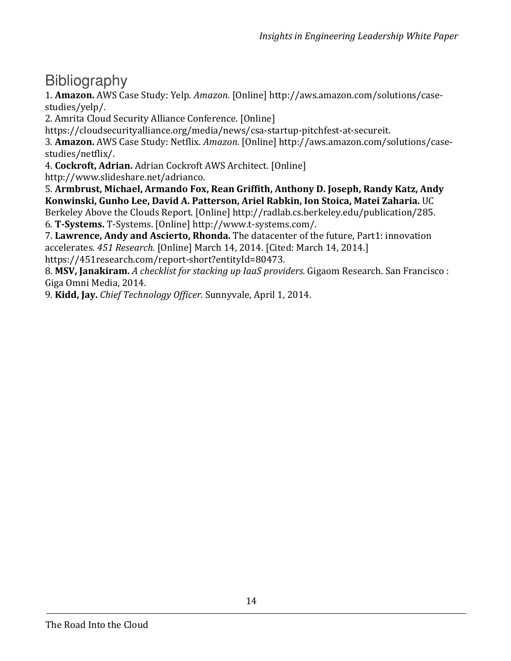### Bibliography

1. Amazon. AWS Case Study: Yelp. Amazon. [Online] http://aws.amazon.com/solutions/casestudies/yelp/.

2. Amrita Cloud Security Alliance Conference. [Online]

https://cloudsecurityalliance.org/media/news/csa-startup-pitchfest-at-secureit.

3. Amazon. AWS Case Study: Netflix. Amazon. [Online] http://aws.amazon.com/solutions/casestudies/netflix/.

4. Cockroft, Adrian. Adrian Cockroft AWS Architect. [Online]

http://www.slideshare.net/adrianco.

5. Armbrust, Michael, Armando Fox, Rean Griffith, Anthony D. Joseph, Randy Katz, Andy Konwinski, Gunho Lee, David A. Patterson, Ariel Rabkin, Ion Stoica, Matei Zaharia. UC

Berkeley Above the Clouds Report. [Online] http://radlab.cs.berkeley.edu/publication/285. 6. T-Systems. T-Systems. [Online] http://www.t-systems.com/.

7. Lawrence, Andy and Ascierto, Rhonda. The datacenter of the future, Part1: innovation accelerates. 451 Research. [Online] March 14, 2014. [Cited: March 14, 2014.] https://451research.com/report-short?entityId=80473.

8. MSV, Janakiram. A checklist for stacking up IaaS providers. Gigaom Research. San Francisco : Giga Omni Media, 2014.

9. Kidd, Jay. Chief Technology Officer. Sunnyvale, April 1, 2014.